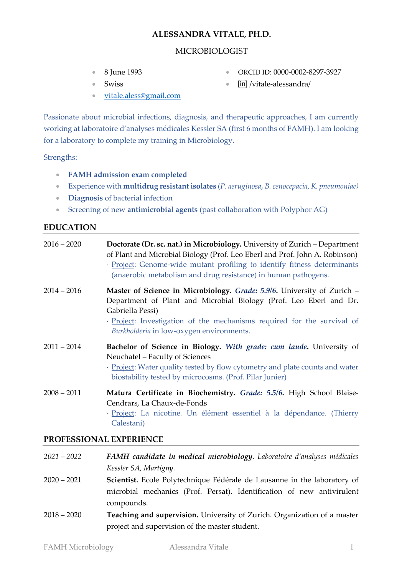# **ALESSANDRA VITALE, PH.D.**

# MICROBIOLOGIST

• 8 June 1993

• ORCID ID: 0000-0002-8297-3927

• Swiss

- [in] [/vitale-alessandra/](https://www.linkedin.com/in/vitale-alessandra/)
- [vitale.aless@gmail.com](mailto:vitale.aless@gmail.com)

Passionate about microbial infections, diagnosis, and therapeutic approaches, I am currently working at laboratoire d'analyses médicales Kessler SA (first 6 months of FAMH). I am looking for a laboratory to complete my training in Microbiology.

Strengths:

- **FAMH admission exam completed**
- Experience with **multidrug resistant isolates** (*P. aeruginosa*, *B. cenocepacia*, *K. pneumoniae)*
- **Diagnosis** of bacterial infection
- Screening of new **antimicrobial agents** (past collaboration with Polyphor AG)

# **EDUCATION**

| $2016 - 2020$ | Doctorate (Dr. sc. nat.) in Microbiology. University of Zurich - Department<br>of Plant and Microbial Biology (Prof. Leo Eberl and Prof. John A. Robinson)<br>· Project: Genome-wide mutant profiling to identify fitness determinants<br>(anaerobic metabolism and drug resistance) in human pathogens. |
|---------------|----------------------------------------------------------------------------------------------------------------------------------------------------------------------------------------------------------------------------------------------------------------------------------------------------------|
| $2014 - 2016$ | Master of Science in Microbiology. Grade: 5.9/6. University of Zurich -<br>Department of Plant and Microbial Biology (Prof. Leo Eberl and Dr.<br>Gabriella Pessi)<br>· Project: Investigation of the mechanisms required for the survival of<br>Burkholderia in low-oxygen environments.                 |
| $2011 - 2014$ | Bachelor of Science in Biology. With grade: cum laude. University of<br>Neuchatel - Faculty of Sciences<br>· Project: Water quality tested by flow cytometry and plate counts and water<br>biostability tested by microcosms. (Prof. Pilar Junier)                                                       |
| $2008 - 2011$ | Matura Certificate in Biochemistry. Grade: 5.5/6. High School Blaise-<br>Cendrars, La Chaux-de-Fonds<br>· Project: La nicotine. Un élément essentiel à la dépendance. (Thierry<br>Calestani)                                                                                                             |

# **PROFESSIONAL EXPERIENCE**

| $2021 - 2022$ | FAMH candidate in medical microbiology. Laboratoire d'analyses médicales |
|---------------|--------------------------------------------------------------------------|
|               | Kessler SA, Martigny.                                                    |
| $2020 - 2021$ | Scientist. Ecole Polytechnique Fédérale de Lausanne in the laboratory of |
|               | microbial mechanics (Prof. Persat). Identification of new antivirulent   |
|               | compounds.                                                               |
| $2018 - 2020$ | Teaching and supervision. University of Zurich. Organization of a master |
|               | project and supervision of the master student.                           |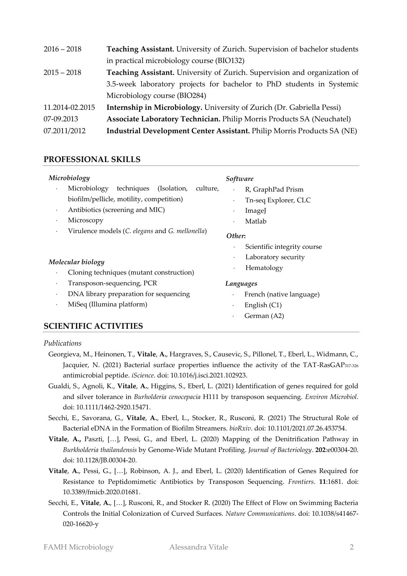| $2016 - 2018$   | Teaching Assistant. University of Zurich. Supervision of bachelor students |
|-----------------|----------------------------------------------------------------------------|
|                 | in practical microbiology course (BIO132)                                  |
| $2015 - 2018$   | Teaching Assistant. University of Zurich. Supervision and organization of  |
|                 | 3.5-week laboratory projects for bachelor to PhD students in Systemic      |
|                 | Microbiology course (BIO284)                                               |
| 11.2014-02.2015 | Internship in Microbiology. University of Zurich (Dr. Gabriella Pessi)     |
| 07-09.2013      | Associate Laboratory Technician. Philip Morris Products SA (Neuchatel)     |
| 07.2011/2012    | Industrial Development Center Assistant. Philip Morris Products SA (NE)    |

# **PROFESSIONAL SKILLS**

## *Microbiology*

- Microbiology techniques (Isolation, culture, biofilm/pellicle, motility, competition)
- Antibiotics (screening and MIC)
- Microscopy
- Virulence models (*C. elegans* and *G. mellonella*)

## *Molecular biology*

- Cloning techniques (mutant construction)
- Transposon-sequencing, PCR
- DNA library preparation for sequencing
- MiSeq (Illumina platform)

## *Software*

- R, GraphPad Prism
- Tn-seq Explorer, CLC
- ImageJ
- Matlab

#### *Other***:**

- Scientific integrity course
- Laboratory security
- Hematology

### *Languages*

- French (native language)
- English (C1)
- German (A2)

# **SCIENTIFIC ACTIVITIES**

## *Publications*

- Georgieva, M., Heinonen, T., **Vitale**, **A.**, Hargraves, S., Causevic, S., Pillonel, T., Eberl, L., Widmann, C., Jacquier, N. (2021) Bacterial surface properties influence the activity of the TAT-RasGAP317-326 antimicrobial peptide. *iScience*. doi: 10.1016/j.isci.2021.102923.
- Gualdi, S., Agnoli, K., **Vitale**, **A.**, Higgins, S., Eberl, L. (2021) Identification of genes required for gold and silver tolerance in *Burholderia cenocepacia* H111 by transposon sequencing. *Environ Microbiol.* doi[: 10.1111/1462-2920.15471.](https://doi.org/10.1111/1462-2920.15471)
- Secchi, E., Savorana, G., **Vitale**, **A.**, Eberl, L., Stocker, R., Rusconi, R. (2021) The Structural Role of Bacterial eDNA in the Formation of Biofilm Streamers. *bioRxiv*. doi: 10.1101/2021.07.26.453754.
- **Vitale**, **A.,** Paszti, […], Pessi, G., and Eberl, L. (2020) Mapping of the Denitrification Pathway in *Burkholderia thailandensis* by Genome-Wide Mutant Profiling. *Journal of Bacteriology*. **202**:e00304-20. doi: 10.1128/JB.00304-20.
- **Vitale**, **A.**, Pessi, G., […], Robinson, A. J., and Eberl, L. (2020) Identification of Genes Required for Resistance to Peptidomimetic Antibiotics by Transposon Sequencing. *Frontiers*. **11**:1681. doi: [10.3389/fmicb.2020.01681.](https://doi.org/10.3389/fmicb.2020.01681)
- Secchi, E., **Vitale**, **A.**, […], Rusconi, R., and Stocker R. (2020) The Effect of Flow on Swimming Bacteria Controls the Initial Colonization of Curved Surfaces. *Nature Communications*. doi: 10.1038/s41467- 020-16620-y